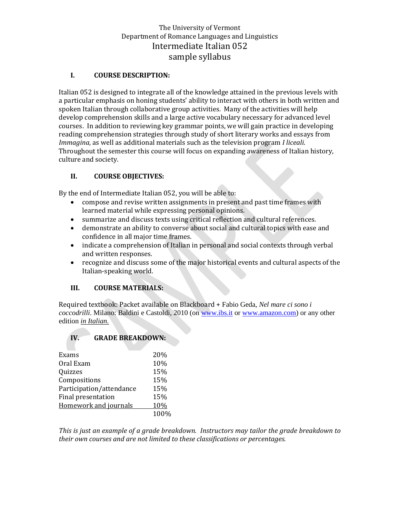# The University of Vermont Department of Romance Languages and Linguistics Intermediate Italian 052 sample syllabus

### **I. COURSE DESCRIPTION:**

Italian 052 is designed to integrate all of the knowledge attained in the previous levels with a particular emphasis on honing students' ability to interact with others in both written and spoken Italian through collaborative group activities. Many of the activities will help develop comprehension skills and a large active vocabulary necessary for advanced level courses. In addition to reviewing key grammar points, we will gain practice in developing reading comprehension strategies through study of short literary works and essays from *Immagina,* as well as additional materials such as the television program *I liceali*. Throughout the semester this course will focus on expanding awareness of Italian history, culture and society.

### **II. COURSE OBJECTIVES:**

By the end of Intermediate Italian 052, you will be able to:

- compose and revise written assignments in present and past time frames with learned material while expressing personal opinions.
- summarize and discuss texts using critical reflection and cultural references.
- demonstrate an ability to converse about social and cultural topics with ease and confidence in all major time frames.
- indicate a comprehension of Italian in personal and social contexts through verbal and written responses.
- recognize and discuss some of the major historical events and cultural aspects of the Italian-speaking world.

#### **III. COURSE MATERIALS:**

Required textbook: Packet available on Blackboard + Fabio Geda, *Nel mare ci sono i coccodrilli*. Milano: Baldini e Castoldi, 2010 (on [www.ibs.it](http://www.ibs.it/) or [www.amazon.com\)](http://www.amazon.com/) or any other edition *in Italian.*

#### **IV. GRADE BREAKDOWN:**

| Exams                    | 20%  |
|--------------------------|------|
| Oral Exam                | 10%  |
| Quizzes                  | 15%  |
| Compositions             | 15%  |
| Participation/attendance | 15%  |
| Final presentation       | 15%  |
| Homework and journals    | 10%  |
|                          | 100% |
|                          |      |

*This is just an example of a grade breakdown. Instructors may tailor the grade breakdown to their own courses and are not limited to these classifications or percentages.*